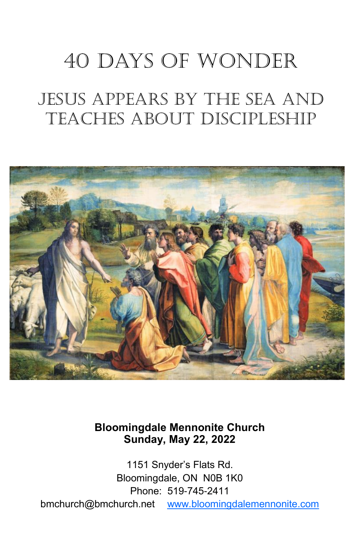# 40 days of wonder

## JESUS APPEARS BY THE SEA AND Teaches about Discipleship



**Bloomingdale Mennonite Church Sunday, May 22, 2022**

1151 Snyder's Flats Rd. Bloomingdale, ON N0B 1K0 Phone: 519-745-2411 bmchurch@bmchurch.net [www.bloomingdalemennonite.com](http://www.bloomingdalemennonite.com/)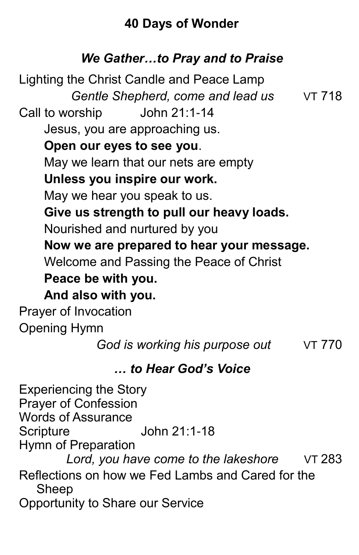## **40 Days of Wonder**

## *We Gather…to Pray and to Praise*

Lighting the Christ Candle and Peace Lamp Gentle Shepherd, come and lead us VT 718 Call to worship John 21:1-14 Jesus, you are approaching us. **Open our eyes to see you**. May we learn that our nets are empty **Unless you inspire our work.** May we hear you speak to us. **Give us strength to pull our heavy loads.** Nourished and nurtured by you **Now we are prepared to hear your message.** Welcome and Passing the Peace of Christ **Peace be with you. And also with you.**  Prayer of Invocation Opening Hymn *God is working his purpose out* VT 770 *… to Hear God's Voice* Experiencing the Story Prayer of Confession Words of Assurance Scripture **John 21:1-18** Hymn of Preparation Lord, you have come to the lakeshore VT 283 Reflections on how we Fed Lambs and Cared for the Sheep Opportunity to Share our Service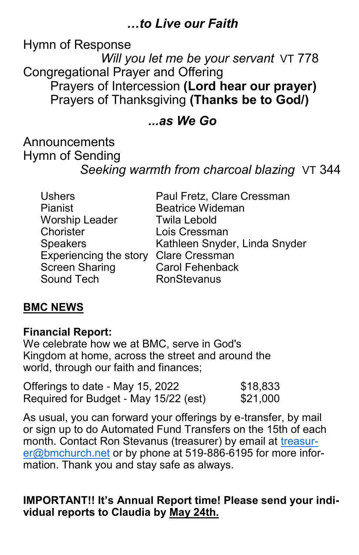## *…to Live our Faith*

Hymn of Response *Will you let me be your servant* VT 778 Congregational Prayer and Offering Prayers of Intercession **(Lord hear our prayer)** Prayers of Thanksgiving **(Thanks be to God/)**

#### *...as We Go*

## Announcements Hymn of Sending

## *Seeking warmth from charcoal blazing* VT 344

| <b>Ushers</b>          | Paul Fretz, Clare Cressman    |
|------------------------|-------------------------------|
| Pianist                | <b>Beatrice Wideman</b>       |
| <b>Worship Leader</b>  | <b>Twila Lebold</b>           |
| Chorister              | Lois Cressman                 |
| <b>Speakers</b>        | Kathleen Snyder, Linda Snyder |
| Experiencing the story | <b>Clare Cressman</b>         |
| <b>Screen Sharing</b>  | <b>Carol Fehenback</b>        |
| Sound Tech             | <b>RonStevanus</b>            |

#### **BMC NEWS**

#### **Financial Report:**

We celebrate how we at BMC, serve in God's Kingdom at home, across the street and around the world, through our faith and finances;

| Offerings to date - May 15, 2022      | \$18,833 |
|---------------------------------------|----------|
| Required for Budget - May 15/22 (est) | \$21,000 |

As usual, you can forward your offerings by e-transfer, by mail or sign up to do Automated Fund Transfers on the 15th of each month. Contact Ron Stevanus (treasurer) by email at [treasur](mailto:treasurer@bmchurch.net)[er@bmchurch.net](mailto:treasurer@bmchurch.net) or by phone at 519-886-6195 for more information. Thank you and stay safe as always.

#### **IMPORTANT!! It's Annual Report time! Please send your individual reports to Claudia by May 24th.**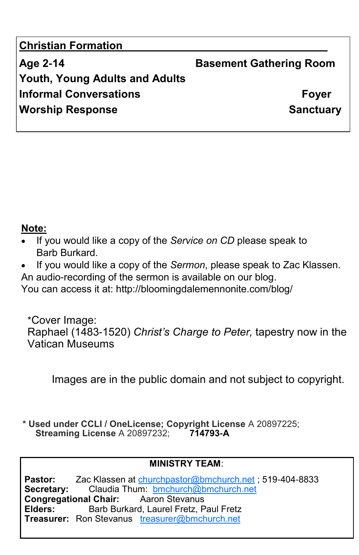#### **Christian Formation**

| Age 2-14                       | <b>Basement Gathering Room</b> |
|--------------------------------|--------------------------------|
| Youth, Young Adults and Adults |                                |
| <b>Informal Conversations</b>  | <b>Fover</b>                   |
| <b>Worship Response</b>        | <b>Sanctuary</b>               |

#### **Note:**

- If you would like a copy of the *Service on CD* please speak to Barb Burkard.
- If you would like a copy of the *Sermon*, please speak to Zac Klassen.
- An audio-recording of the sermon is available on our blog.

You can access it at: http://bloomingdalemennonite.com/blog/

\*Cover Image: Raphael (1483-1520) *Christ's Charge to Peter,* tapestry now in the Vatican Museums

Images are in the public domain and not subject to copyright.

**\* Used under CCLI / OneLicense; Copyright License** A 20897225; **Streaming License** A 20897232; **714793-A** 

#### **MINISTRY TEAM**:

**Pastor:** Zac Klassen at [churchpastor@bmchurch.net](mailto:churchpastor@bmchurch.net) ; 519-404-8833 **Secretary:** Claudia Thum: [bmchurch@bmchurch.net](mailto:bmchurch@bmchurch.net) **Congregational Chair:** Aaron Stevanus **Elders:** Barb Burkard, Laurel Fretz, Paul Fretz **Treasurer:** Ron Stevanus treasurer@bmchurch.net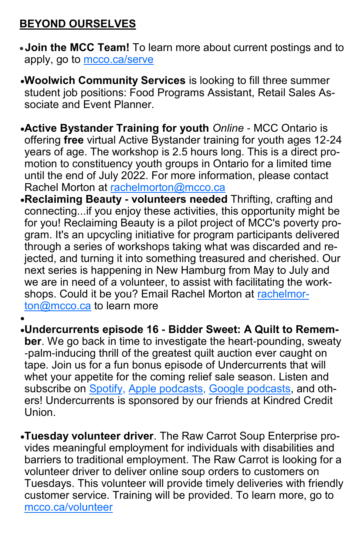## **BEYOND OURSELVES**

- •**Join the MCC Team!** To learn more about current postings and to apply, go to [mcco.ca/serve](https://mennonitecentralcommittee.cmail19.com/t/i-l-cdylkyk-tyiuhytuuk-d/)
- •**Woolwich Community Services** is looking to fill three summer student job positions: Food Programs Assistant, Retail Sales Associate and Event Planner.
- •**Active Bystander Training for youth** *Online* MCC Ontario is offering **free** virtual Active Bystander training for youth ages 12-24 years of age. The workshop is 2.5 hours long. This is a direct promotion to constituency youth groups in Ontario for a limited time until the end of July 2022. For more information, please contact Rachel Morton at [rachelmorton@mcco.ca](mailto:rachelmorton@mcco.ca)
- •**Reclaiming Beauty - volunteers needed** Thrifting, crafting and connecting...if you enjoy these activities, this opportunity might be for you! Reclaiming Beauty is a pilot project of MCC's poverty program. It's an upcycling initiative for program participants delivered through a series of workshops taking what was discarded and rejected, and turning it into something treasured and cherished. Our next series is happening in New Hamburg from May to July and we are in need of a volunteer, to assist with facilitating the workshops. Could it be you? Email Rachel Morton at [rachelmor](mailto:rachelmorton@mcco.ca)[ton@mcco.ca](mailto:rachelmorton@mcco.ca) to learn more
- •**Undercurrents episode 16 - Bidder Sweet: A Quilt to Remember**. We go back in time to investigate the heart-pounding, sweaty -palm-inducing thrill of the greatest quilt auction ever caught on tape. Join us for a fun bonus episode of Undercurrents that will whet your appetite for the coming relief sale season. Listen and subscribe on <u>[Spotify,](https://mennonitecentralcommittee.cmail19.com/t/i-l-cuykyhk-tjidurzp-i/) [Apple podcasts,](https://mennonitecentralcommittee.cmail19.com/t/i-l-cuykyhk-tjidurzp-d/) Google podcasts</u>, and others! Undercurrents is sponsored by our friends at Kindred Credit Union.
- •**Tuesday volunteer driver**. The Raw Carrot Soup Enterprise provides meaningful employment for individuals with disabilities and barriers to traditional employment. The Raw Carrot is looking for a volunteer driver to deliver online soup orders to customers on Tuesdays. This volunteer will provide timely deliveries with friendly customer service. Training will be provided. To learn more, go to [mcco.ca/volunteer](https://mennonitecentralcommittee.cmail19.com/t/i-l-cuykyhk-tjidurzp-b/)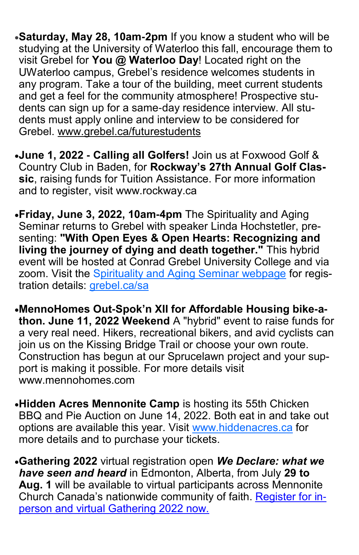- •**Saturday, May 28, 10am-2pm** If you know a student who will be studying at the University of Waterloo this fall, encourage them to visit Grebel for **You @ Waterloo Day**! Located right on the UWaterloo campus, Grebel's residence welcomes students in any program. Take a tour of the building, meet current students and get a feel for the community atmosphere! Prospective students can sign up for a same-day residence interview. All students must apply online and interview to be considered for Grebel. [www.grebel.ca/futurestudents](http://www.grebel.ca/futurestudents)
- •**June 1, 2022 - Calling all Golfers!** Join us at Foxwood Golf & Country Club in Baden, for **Rockway's 27th Annual Golf Classic**, raising funds for Tuition Assistance. For more information and to register, visit www.rockway.ca
- •**Friday, June 3, 2022, 10am-4pm** The Spirituality and Aging Seminar returns to Grebel with speaker Linda Hochstetler, presenting: **"With Open Eyes & Open Hearts: Recognizing and living the journey of dying and death together."** This hybrid event will be hosted at Conrad Grebel University College and via zoom. Visit the S[pirituality and Aging Seminar webpage](https://uwaterloo.ca/grebel/events/spirituality-and-aging-seminar) for registration details: [grebel.ca/sa](http://grebel.ca/sa)
- •**MennoHomes Out-Spok'n XII for Affordable Housing bike-athon. June 11, 2022 Weekend** A "hybrid" event to raise funds for a very real need. Hikers, recreational bikers, and avid cyclists can join us on the Kissing Bridge Trail or choose your own route. Construction has begun at our Sprucelawn project and your support is making it possible. For more details visit www.mennohomes.com
- •**Hidden Acres Mennonite Camp** is hosting its 55th Chicken BBQ and Pie Auction on June 14, 2022. Both eat in and take out options are available this year. Visit [www.hiddenacres.ca](http://www.hiddenacres.ca/) for more details and to purchase your tickets.
- •**Gathering 2022** virtual registration open *We Declare: what we have seen and heard* in Edmonton, Alberta, from July **29 to Aug. 1** will be available to virtual participants across Mennonite Church Canada's nationwide community of faith. [Register for in](https://mcec.us20.list-manage.com/track/click?u=148d8aa0248ccb8acc31f00a2&id=27e4b4c7af&e=7cf3365c41)[person and virtual Gathering 2022 now.](https://mcec.us20.list-manage.com/track/click?u=148d8aa0248ccb8acc31f00a2&id=27e4b4c7af&e=7cf3365c41)